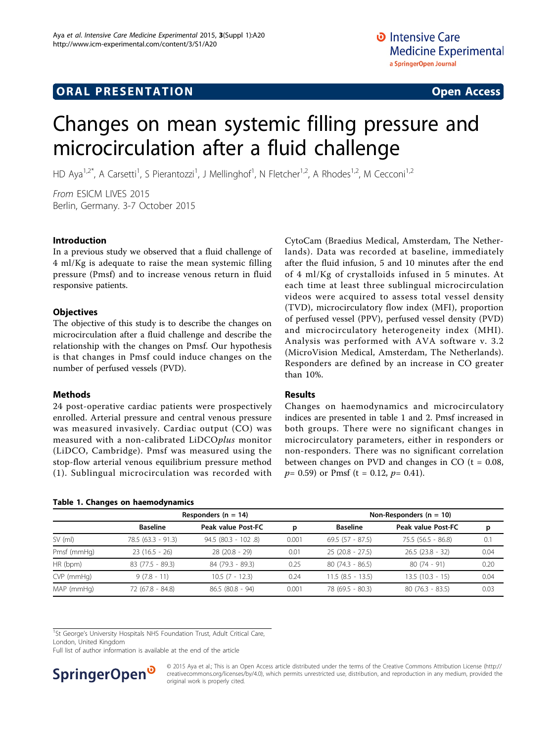## **ORAL PRESENTATION CONSUMING ACCESS**

# Changes on mean systemic filling pressure and microcirculation after a fluid challenge

HD Aya<sup>1,2\*</sup>, A Carsetti<sup>1</sup>, S Pierantozzi<sup>1</sup>, J Mellinghof<sup>1</sup>, N Fletcher<sup>1,2</sup>, A Rhodes<sup>1,2</sup>, M Cecconi<sup>1,2</sup>

From ESICM LIVES 2015 Berlin, Germany. 3-7 October 2015

#### Introduction

In a previous study we observed that a fluid challenge of 4 ml/Kg is adequate to raise the mean systemic filling pressure (Pmsf) and to increase venous return in fluid responsive patients.

#### **Objectives**

The objective of this study is to describe the changes on microcirculation after a fluid challenge and describe the relationship with the changes on Pmsf. Our hypothesis is that changes in Pmsf could induce changes on the number of perfused vessels (PVD).

## Methods

24 post-operative cardiac patients were prospectively enrolled. Arterial pressure and central venous pressure was measured invasively. Cardiac output (CO) was measured with a non-calibrated LiDCOplus monitor (LiDCO, Cambridge). Pmsf was measured using the stop-flow arterial venous equilibrium pressure method (1). Sublingual microcirculation was recorded with

## CytoCam (Braedius Medical, Amsterdam, The Netherlands). Data was recorded at baseline, immediately after the fluid infusion, 5 and 10 minutes after the end of 4 ml/Kg of crystalloids infused in 5 minutes. At each time at least three sublingual microcirculation videos were acquired to assess total vessel density (TVD), microcirculatory flow index (MFI), proportion of perfused vessel (PPV), perfused vessel density (PVD) and microcirculatory heterogeneity index (MHI). Analysis was performed with AVA software v. 3.2 (MicroVision Medical, Amsterdam, The Netherlands). Responders are defined by an increase in CO greater than 10%.

## Results

Changes on haemodynamics and microcirculatory indices are presented in table 1 and 2. Pmsf increased in both groups. There were no significant changes in microcirculatory parameters, either in responders or non-responders. There was no significant correlation between changes on PVD and changes in CO  $(t = 0.08,$  $p= 0.59$  or Pmsf (t = 0.12,  $p= 0.41$ ).

|              | Responders ( $n = 14$ ) |                       |       | Non-Responders $(n = 10)$ |                     |      |
|--------------|-------------------------|-----------------------|-------|---------------------------|---------------------|------|
|              | <b>Baseline</b>         | Peak value Post-FC    | р     | <b>Baseline</b>           | Peak value Post-FC  | p    |
| $SV$ (ml)    | $78.5(63.3 - 91.3)$     | $94.5 (80.3 - 102.8)$ | 0.001 | $69.5(57 - 87.5)$         | $75.5(56.5 - 86.8)$ | 0.1  |
| Pmsf (mmHg)  | $23(16.5 - 26)$         | $28(20.8 - 29)$       | 0.01  | $25(20.8 - 27.5)$         | $26.5(23.8 - 32)$   | 0.04 |
| HR (bpm)     | $83(77.5 - 89.3)$       | 84 (79.3 - 89.3)      | 0.25  | $80(74.3 - 86.5)$         | $80(74-91)$         | 0.20 |
| $CVP$ (mmHg) | $9(7.8 - 11)$           | $10.5(7 - 12.3)$      | 0.24  | $11.5(8.5 - 13.5)$        | $13.5(10.3 - 15)$   | 0.04 |
| MAP (mmHg)   | 72 (67.8 - 84.8)        | $86.5(80.8 - 94)$     | 0.001 | 78 (69.5 - 80.3)          | $80(76.3 - 83.5)$   | 0.03 |

<sup>1</sup>St George's University Hospitals NHS Foundation Trust, Adult Critical Care,

London, United Kingdom

Full list of author information is available at the end of the article

Table 1. Changes on haemodynamics



© 2015 Aya et al.; This is an Open Access article distributed under the terms of the Creative Commons Attribution License [\(http://](http://creativecommons.org/licenses/by/4.0) [creativecommons.org/licenses/by/4.0](http://creativecommons.org/licenses/by/4.0)), which permits unrestricted use, distribution, and reproduction in any medium, provided the original work is properly cited.